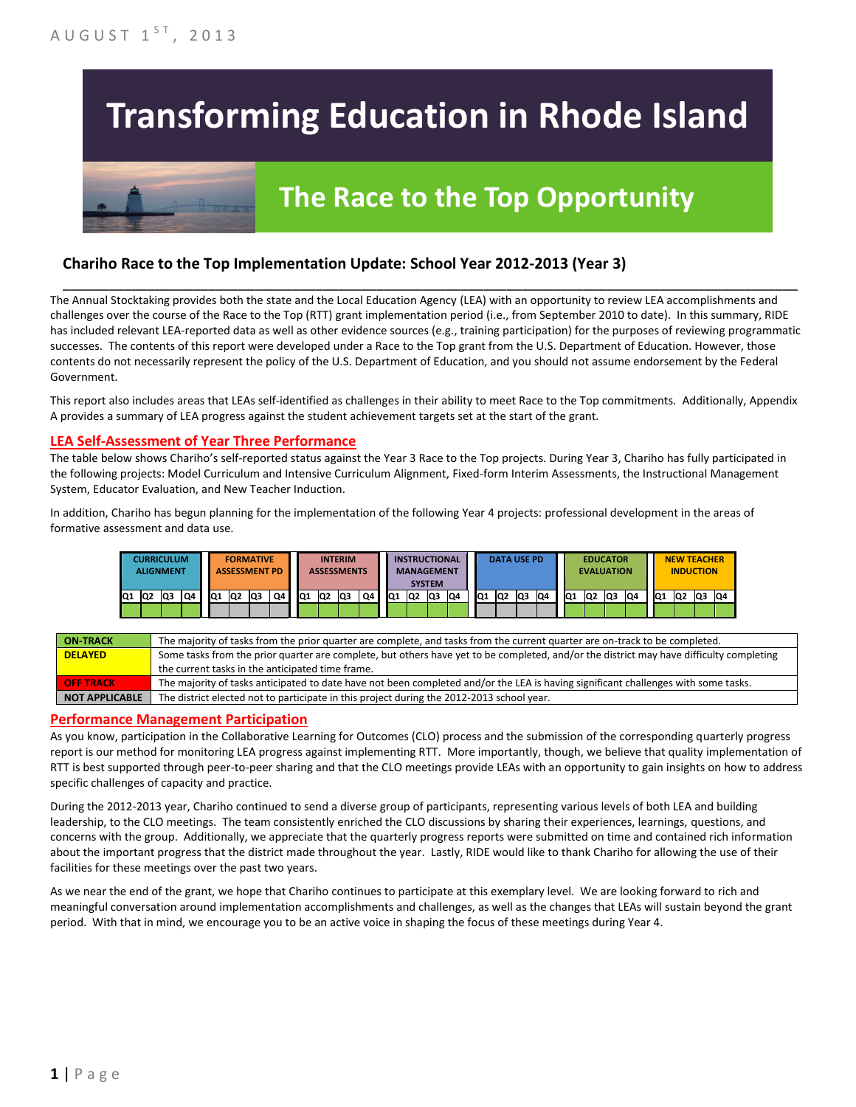# **Transforming Education in Rhode Island**

# **The Race to the Top Opportunity**

### **Chariho Race to the Top Implementation Update: School Year 2012-2013 (Year 3)**

The Annual Stocktaking provides both the state and the Local Education Agency (LEA) with an opportunity to review LEA accomplishments and challenges over the course of the Race to the Top (RTT) grant implementation period (i.e., from September 2010 to date). In this summary, RIDE has included relevant LEA-reported data as well as other evidence sources (e.g., training participation) for the purposes of reviewing programmatic successes. The contents of this report were developed under a Race to the Top grant from the U.S. Department of Education. However, those contents do not necessarily represent the policy of the U.S. Department of Education, and you should not assume endorsement by the Federal Government.

\_\_\_\_\_\_\_\_\_\_\_\_\_\_\_\_\_\_\_\_\_\_\_\_\_\_\_\_\_\_\_\_\_\_\_\_\_\_\_\_\_\_\_\_\_\_\_\_\_\_\_\_\_\_\_\_\_\_\_\_\_\_\_\_\_\_\_\_\_\_\_\_\_\_\_\_\_\_\_\_\_\_\_\_\_\_\_\_\_\_\_\_\_\_\_\_

This report also includes areas that LEAs self-identified as challenges in their ability to meet Race to the Top commitments. Additionally, Appendix A provides a summary of LEA progress against the student achievement targets set at the start of the grant.

#### **LEA Self-Assessment of Year Three Performance**

The table below shows Chariho's self-reported status against the Year 3 Race to the Top projects. During Year 3, Chariho has fully participated in the following projects: Model Curriculum and Intensive Curriculum Alignment, Fixed-form Interim Assessments, the Instructional Management System, Educator Evaluation, and New Teacher Induction.

In addition, Chariho has begun planning for the implementation of the following Year 4 projects: professional development in the areas of formative assessment and data use.

|     |                | <b>CURRICULUM</b><br><b>ALIGNMENT</b> |    |    |                | <b>FORMATIVE</b><br><b>ASSESSMENT PD</b> |    |           |                | <b>INTERIM</b><br><b>ASSESSMENTS</b> |    |    | <b>SYSTEM</b>  | <b>INSTRUCTIONAL</b><br><b>MANAGEMENT</b> |     |     | <b>DATA USE PD</b> |    |    |                 | <b>EDUCATOR</b><br><b>EVALUATION</b> |     |    |     | <b>NEW TEACHER</b><br><b>INDUCTION</b> |    |    |
|-----|----------------|---------------------------------------|----|----|----------------|------------------------------------------|----|-----------|----------------|--------------------------------------|----|----|----------------|-------------------------------------------|-----|-----|--------------------|----|----|-----------------|--------------------------------------|-----|----|-----|----------------------------------------|----|----|
| IQ1 | Q <sub>2</sub> | Q3                                    | Q4 | Q1 | Q <sub>2</sub> | Q3                                       | Q4 | <b>Q1</b> | Q <sub>2</sub> | lQ3                                  | Q4 | Q1 | Q <sub>2</sub> | lQ3                                       | IQ4 | IQ1 | Q2                 | Q3 | Q4 | IQ <sub>1</sub> | IQ2                                  | lQ3 | Q4 | IQ1 | Q2                                     | Q3 | Q4 |
|     |                |                                       |    |    |                |                                          |    |           |                |                                      |    |    |                |                                           |     |     |                    |    |    |                 |                                      |     |    |     |                                        |    |    |

| <b>ON-TRACK</b>  | The majority of tasks from the prior quarter are complete, and tasks from the current quarter are on-track to be completed.             |
|------------------|-----------------------------------------------------------------------------------------------------------------------------------------|
| <b>DELAYED</b>   | Some tasks from the prior quarter are complete, but others have yet to be completed, and/or the district may have difficulty completing |
|                  | the current tasks in the anticipated time frame.                                                                                        |
| <b>OFF TRACK</b> | The majority of tasks anticipated to date have not been completed and/or the LEA is having significant challenges with some tasks.      |
| NOT APPLICABLE   | The district elected not to participate in this project during the 2012-2013 school year.                                               |

#### **Performance Management Participation**

As you know, participation in the Collaborative Learning for Outcomes (CLO) process and the submission of the corresponding quarterly progress report is our method for monitoring LEA progress against implementing RTT. More importantly, though, we believe that quality implementation of RTT is best supported through peer-to-peer sharing and that the CLO meetings provide LEAs with an opportunity to gain insights on how to address specific challenges of capacity and practice.

During the 2012-2013 year, Chariho continued to send a diverse group of participants, representing various levels of both LEA and building leadership, to the CLO meetings. The team consistently enriched the CLO discussions by sharing their experiences, learnings, questions, and concerns with the group. Additionally, we appreciate that the quarterly progress reports were submitted on time and contained rich information about the important progress that the district made throughout the year. Lastly, RIDE would like to thank Chariho for allowing the use of their facilities for these meetings over the past two years.

As we near the end of the grant, we hope that Chariho continues to participate at this exemplary level. We are looking forward to rich and meaningful conversation around implementation accomplishments and challenges, as well as the changes that LEAs will sustain beyond the grant period. With that in mind, we encourage you to be an active voice in shaping the focus of these meetings during Year 4.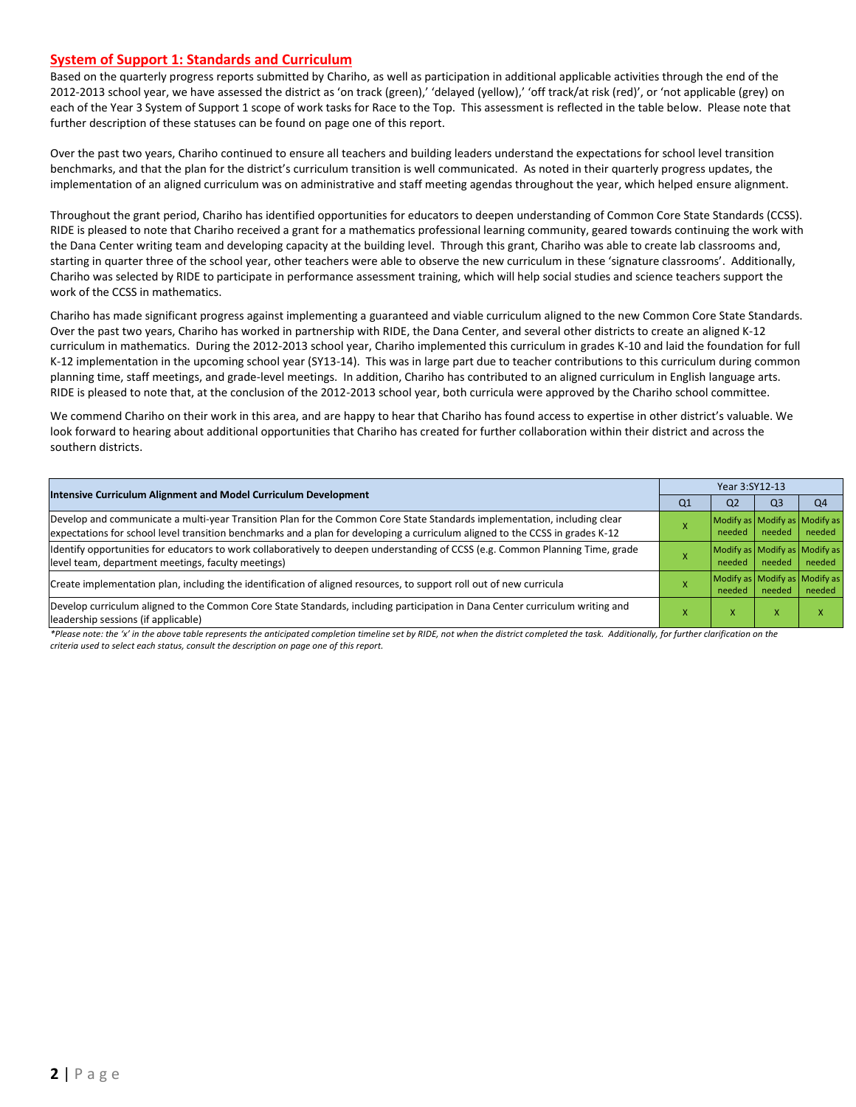#### **System of Support 1: Standards and Curriculum**

Based on the quarterly progress reports submitted by Chariho, as well as participation in additional applicable activities through the end of the 2012-2013 school year, we have assessed the district as 'on track (green),' 'delayed (yellow),' 'off track/at risk (red)', or 'not applicable (grey) on each of the Year 3 System of Support 1 scope of work tasks for Race to the Top. This assessment is reflected in the table below. Please note that further description of these statuses can be found on page one of this report.

Over the past two years, Chariho continued to ensure all teachers and building leaders understand the expectations for school level transition benchmarks, and that the plan for the district's curriculum transition is well communicated. As noted in their quarterly progress updates, the implementation of an aligned curriculum was on administrative and staff meeting agendas throughout the year, which helped ensure alignment.

Throughout the grant period, Chariho has identified opportunities for educators to deepen understanding of Common Core State Standards (CCSS). RIDE is pleased to note that Chariho received a grant for a mathematics professional learning community, geared towards continuing the work with the Dana Center writing team and developing capacity at the building level. Through this grant, Chariho was able to create lab classrooms and, starting in quarter three of the school year, other teachers were able to observe the new curriculum in these 'signature classrooms'. Additionally, Chariho was selected by RIDE to participate in performance assessment training, which will help social studies and science teachers support the work of the CCSS in mathematics.

Chariho has made significant progress against implementing a guaranteed and viable curriculum aligned to the new Common Core State Standards. Over the past two years, Chariho has worked in partnership with RIDE, the Dana Center, and several other districts to create an aligned K-12 curriculum in mathematics. During the 2012-2013 school year, Chariho implemented this curriculum in grades K-10 and laid the foundation for full K-12 implementation in the upcoming school year (SY13-14). This was in large part due to teacher contributions to this curriculum during common planning time, staff meetings, and grade-level meetings. In addition, Chariho has contributed to an aligned curriculum in English language arts. RIDE is pleased to note that, at the conclusion of the 2012-2013 school year, both curricula were approved by the Chariho school committee.

We commend Chariho on their work in this area, and are happy to hear that Chariho has found access to expertise in other district's valuable. We look forward to hearing about additional opportunities that Chariho has created for further collaboration within their district and across the southern districts.

|                                                                                                                                                                                                                                                           | Year 3:SY12-13 |                                         |                |                                         |  |  |
|-----------------------------------------------------------------------------------------------------------------------------------------------------------------------------------------------------------------------------------------------------------|----------------|-----------------------------------------|----------------|-----------------------------------------|--|--|
| <b>Intensive Curriculum Alignment and Model Curriculum Development</b>                                                                                                                                                                                    | Q1             | Q <sub>2</sub>                          | Q <sub>3</sub> | Q <sub>4</sub>                          |  |  |
| Develop and communicate a multi-year Transition Plan for the Common Core State Standards implementation, including clear<br>expectations for school level transition benchmarks and a plan for developing a curriculum aligned to the CCSS in grades K-12 |                | Modify as Modify as Modify as<br>needed | needed         | needed                                  |  |  |
| Identify opportunities for educators to work collaboratively to deepen understanding of CCSS (e.g. Common Planning Time, grade<br>level team, department meetings, faculty meetings)                                                                      |                | Modify as Modify as Modify as<br>needed | needed         | needed                                  |  |  |
| Create implementation plan, including the identification of aligned resources, to support roll out of new curricula                                                                                                                                       |                | needed                                  | needed         | Modify as Modify as Modify as<br>needed |  |  |
| Develop curriculum aligned to the Common Core State Standards, including participation in Dana Center curriculum writing and<br>leadership sessions (if applicable)                                                                                       |                | ж                                       |                |                                         |  |  |

*\*Please note: the 'x' in the above table represents the anticipated completion timeline set by RIDE, not when the district completed the task. Additionally, for further clarification on the criteria used to select each status, consult the description on page one of this report.*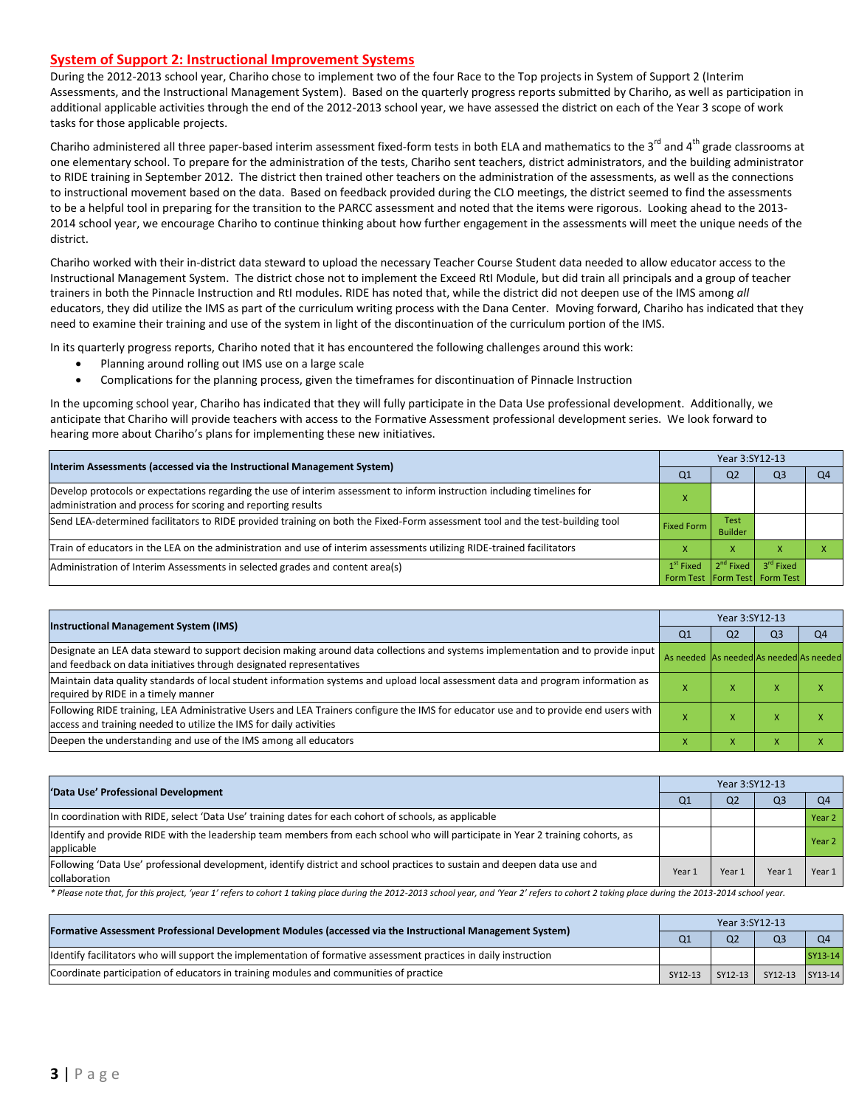#### **System of Support 2: Instructional Improvement Systems**

During the 2012-2013 school year, Chariho chose to implement two of the four Race to the Top projects in System of Support 2 (Interim Assessments, and the Instructional Management System). Based on the quarterly progress reports submitted by Chariho, as well as participation in additional applicable activities through the end of the 2012-2013 school year, we have assessed the district on each of the Year 3 scope of work tasks for those applicable projects.

Chariho administered all three paper-based interim assessment fixed-form tests in both ELA and mathematics to the 3<sup>rd</sup> and 4<sup>th</sup> grade classrooms at one elementary school. To prepare for the administration of the tests, Chariho sent teachers, district administrators, and the building administrator to RIDE training in September 2012. The district then trained other teachers on the administration of the assessments, as well as the connections to instructional movement based on the data. Based on feedback provided during the CLO meetings, the district seemed to find the assessments to be a helpful tool in preparing for the transition to the PARCC assessment and noted that the items were rigorous. Looking ahead to the 2013- 2014 school year, we encourage Chariho to continue thinking about how further engagement in the assessments will meet the unique needs of the district.

Chariho worked with their in-district data steward to upload the necessary Teacher Course Student data needed to allow educator access to the Instructional Management System. The district chose not to implement the Exceed RtI Module, but did train all principals and a group of teacher trainers in both the Pinnacle Instruction and RtI modules. RIDE has noted that, while the district did not deepen use of the IMS among *all* educators, they did utilize the IMS as part of the curriculum writing process with the Dana Center. Moving forward, Chariho has indicated that they need to examine their training and use of the system in light of the discontinuation of the curriculum portion of the IMS.

In its quarterly progress reports, Chariho noted that it has encountered the following challenges around this work:

- Planning around rolling out IMS use on a large scale
- Complications for the planning process, given the timeframes for discontinuation of Pinnacle Instruction

In the upcoming school year, Chariho has indicated that they will fully participate in the Data Use professional development. Additionally, we anticipate that Chariho will provide teachers with access to the Formative Assessment professional development series. We look forward to hearing more about Chariho's plans for implementing these new initiatives.

| Interim Assessments (accessed via the Instructional Management System)                                                                                                                  | Year 3:SY12-13    |                               |                                                                |          |  |  |
|-----------------------------------------------------------------------------------------------------------------------------------------------------------------------------------------|-------------------|-------------------------------|----------------------------------------------------------------|----------|--|--|
|                                                                                                                                                                                         | Q1                | Q <sub>2</sub>                | Q3                                                             | $\Omega$ |  |  |
| Develop protocols or expectations regarding the use of interim assessment to inform instruction including timelines for<br>administration and process for scoring and reporting results |                   |                               |                                                                |          |  |  |
| Send LEA-determined facilitators to RIDE provided training on both the Fixed-Form assessment tool and the test-building tool                                                            | <b>Fixed Form</b> | <b>Test</b><br><b>Builder</b> |                                                                |          |  |  |
| Train of educators in the LEA on the administration and use of interim assessments utilizing RIDE-trained facilitators                                                                  |                   | $\mathbf{v}$<br>v             |                                                                |          |  |  |
| Administration of Interim Assessments in selected grades and content area(s)                                                                                                            | $1st$ Fixed       |                               | $2^{nd}$ Fixed $3^{rd}$ Fixed<br>Form Test Form Test Form Test |          |  |  |

| <b>Instructional Management System (IMS)</b>                                                                                                                                                              | Year 3:SY12-13                          |                |                |                |  |  |
|-----------------------------------------------------------------------------------------------------------------------------------------------------------------------------------------------------------|-----------------------------------------|----------------|----------------|----------------|--|--|
|                                                                                                                                                                                                           | Q <sub>1</sub>                          | Q <sub>2</sub> | Q <sub>3</sub> | Q <sub>4</sub> |  |  |
| Designate an LEA data steward to support decision making around data collections and systems implementation and to provide input<br>and feedback on data initiatives through designated representatives   | As needed As needed As needed As needed |                |                |                |  |  |
| Maintain data quality standards of local student information systems and upload local assessment data and program information as<br>required by RIDE in a timely manner                                   |                                         |                |                |                |  |  |
| Following RIDE training, LEA Administrative Users and LEA Trainers configure the IMS for educator use and to provide end users with<br>access and training needed to utilize the IMS for daily activities |                                         | ⋏              | ⋏              |                |  |  |
| Deepen the understanding and use of the IMS among all educators                                                                                                                                           |                                         | x              | ⋏              |                |  |  |

| 'Data Use' Professional Development                                                                                                           | Year 3:SY12-13 |                |                |                |  |  |
|-----------------------------------------------------------------------------------------------------------------------------------------------|----------------|----------------|----------------|----------------|--|--|
|                                                                                                                                               | Q1             | Q <sub>2</sub> | Q <sub>3</sub> | Q <sub>4</sub> |  |  |
| In coordination with RIDE, select 'Data Use' training dates for each cohort of schools, as applicable                                         |                |                |                | Year 2         |  |  |
| Identify and provide RIDE with the leadership team members from each school who will participate in Year 2 training cohorts, as<br>applicable |                |                |                | Year 2         |  |  |
| Following 'Data Use' professional development, identify district and school practices to sustain and deepen data use and<br>collaboration     | Year 1         | Year 1         | Year           | Year 1         |  |  |

\* Please note that, for this project, 'year 1' refers to cohort 1 taking place during the 2012-2013 school year, and 'Year 2' refers to cohort 2 taking place during the 2013-2014 school year.

| [Formative Assessment Professional Development Modules (accessed via the Instructional Management System)        |         | Year 3:SY12-13 |                         |                |  |  |  |
|------------------------------------------------------------------------------------------------------------------|---------|----------------|-------------------------|----------------|--|--|--|
|                                                                                                                  |         | Q <sub>2</sub> | Q <sub>3</sub>          | O <sub>4</sub> |  |  |  |
| ldentify facilitators who will support the implementation of formative assessment practices in daily instruction |         |                |                         | SY13-14        |  |  |  |
| Coordinate participation of educators in training modules and communities of practice                            | SY12-13 |                | SY12-13 SY12-13 SY13-14 |                |  |  |  |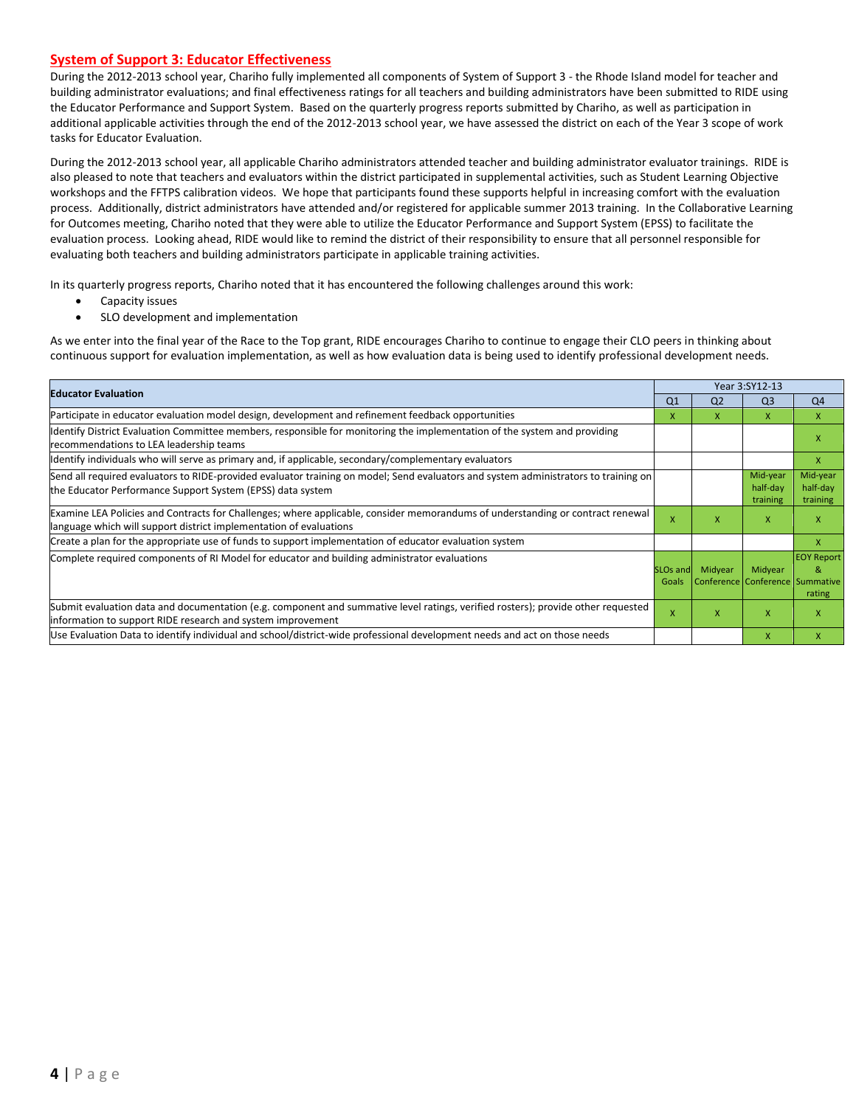#### **System of Support 3: Educator Effectiveness**

During the 2012-2013 school year, Chariho fully implemented all components of System of Support 3 - the Rhode Island model for teacher and building administrator evaluations; and final effectiveness ratings for all teachers and building administrators have been submitted to RIDE using the Educator Performance and Support System. Based on the quarterly progress reports submitted by Chariho, as well as participation in additional applicable activities through the end of the 2012-2013 school year, we have assessed the district on each of the Year 3 scope of work tasks for Educator Evaluation.

During the 2012-2013 school year, all applicable Chariho administrators attended teacher and building administrator evaluator trainings. RIDE is also pleased to note that teachers and evaluators within the district participated in supplemental activities, such as Student Learning Objective workshops and the FFTPS calibration videos. We hope that participants found these supports helpful in increasing comfort with the evaluation process. Additionally, district administrators have attended and/or registered for applicable summer 2013 training. In the Collaborative Learning for Outcomes meeting, Chariho noted that they were able to utilize the Educator Performance and Support System (EPSS) to facilitate the evaluation process. Looking ahead, RIDE would like to remind the district of their responsibility to ensure that all personnel responsible for evaluating both teachers and building administrators participate in applicable training activities.

In its quarterly progress reports, Chariho noted that it has encountered the following challenges around this work:

- Capacity issues
- SLO development and implementation

As we enter into the final year of the Race to the Top grant, RIDE encourages Chariho to continue to engage their CLO peers in thinking about continuous support for evaluation implementation, as well as how evaluation data is being used to identify professional development needs.

|                                                                                                                                                                                                      |                           |                | Year 3:SY12-13                             |                                  |
|------------------------------------------------------------------------------------------------------------------------------------------------------------------------------------------------------|---------------------------|----------------|--------------------------------------------|----------------------------------|
| <b>Educator Evaluation</b>                                                                                                                                                                           | Q <sub>1</sub>            | Q <sub>2</sub> | Q <sub>3</sub>                             | Q <sub>4</sub>                   |
| Participate in educator evaluation model design, development and refinement feedback opportunities                                                                                                   | X                         | X              | $\mathsf{X}$                               | $\mathsf{x}$                     |
| Identify District Evaluation Committee members, responsible for monitoring the implementation of the system and providing<br>recommendations to LEA leadership teams                                 |                           |                |                                            | x                                |
| ldentify individuals who will serve as primary and, if applicable, secondary/complementary evaluators                                                                                                |                           |                |                                            | $\mathsf{x}$                     |
| Send all required evaluators to RIDE-provided evaluator training on model; Send evaluators and system administrators to training on<br>the Educator Performance Support System (EPSS) data system    |                           |                | Mid-year<br>half-day<br>training           | Mid-year<br>half-day<br>training |
| Examine LEA Policies and Contracts for Challenges; where applicable, consider memorandums of understanding or contract renewal<br>language which will support district implementation of evaluations | X                         | X              | X                                          | X                                |
| Create a plan for the appropriate use of funds to support implementation of educator evaluation system                                                                                               |                           |                |                                            | $\mathsf{x}$                     |
| Complete required components of RI Model for educator and building administrator evaluations                                                                                                         | SLOs and<br>Goals         | Midyear        | Midyear<br>Conference Conference Summative | <b>EOY Report</b><br>&<br>rating |
| Submit evaluation data and documentation (e.g. component and summative level ratings, verified rosters); provide other requested<br>information to support RIDE research and system improvement      | $\boldsymbol{\mathsf{x}}$ | X              | $\mathsf{x}$                               | $\mathsf{x}$                     |
| Use Evaluation Data to identify individual and school/district-wide professional development needs and act on those needs                                                                            |                           |                | $\mathsf{x}$                               | $\mathsf{x}$                     |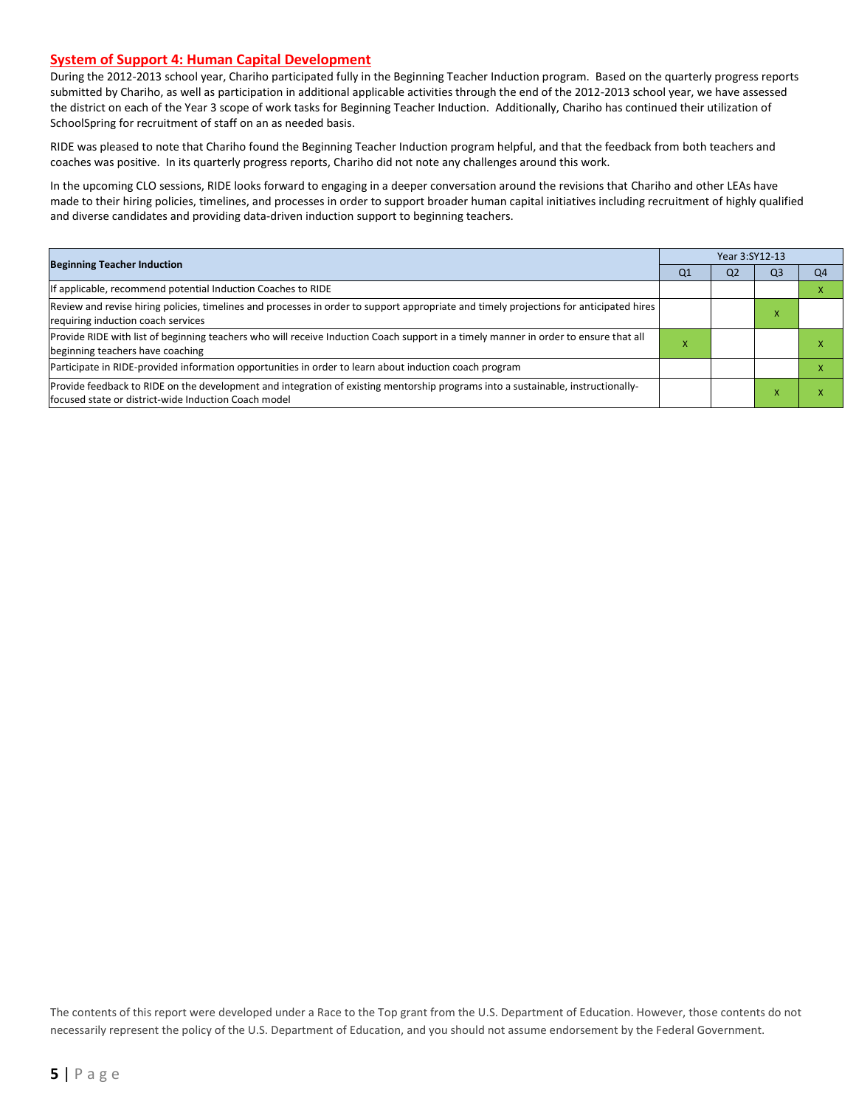#### **System of Support 4: Human Capital Development**

During the 2012-2013 school year, Chariho participated fully in the Beginning Teacher Induction program. Based on the quarterly progress reports submitted by Chariho, as well as participation in additional applicable activities through the end of the 2012-2013 school year, we have assessed the district on each of the Year 3 scope of work tasks for Beginning Teacher Induction. Additionally, Chariho has continued their utilization of SchoolSpring for recruitment of staff on an as needed basis.

RIDE was pleased to note that Chariho found the Beginning Teacher Induction program helpful, and that the feedback from both teachers and coaches was positive. In its quarterly progress reports, Chariho did not note any challenges around this work.

In the upcoming CLO sessions, RIDE looks forward to engaging in a deeper conversation around the revisions that Chariho and other LEAs have made to their hiring policies, timelines, and processes in order to support broader human capital initiatives including recruitment of highly qualified and diverse candidates and providing data-driven induction support to beginning teachers.

| <b>Beginning Teacher Induction</b>                                                                                                                                                       |                | Year 3:SY12-13 |                |    |  |  |  |
|------------------------------------------------------------------------------------------------------------------------------------------------------------------------------------------|----------------|----------------|----------------|----|--|--|--|
|                                                                                                                                                                                          | Q <sub>1</sub> | Q <sub>2</sub> | Q <sub>3</sub> | Q4 |  |  |  |
| If applicable, recommend potential Induction Coaches to RIDE                                                                                                                             |                |                |                |    |  |  |  |
| Review and revise hiring policies, timelines and processes in order to support appropriate and timely projections for anticipated hires<br>requiring induction coach services            |                |                |                |    |  |  |  |
| Provide RIDE with list of beginning teachers who will receive Induction Coach support in a timely manner in order to ensure that all<br>beginning teachers have coaching                 | ж              |                |                |    |  |  |  |
| Participate in RIDE-provided information opportunities in order to learn about induction coach program                                                                                   |                |                |                |    |  |  |  |
| Provide feedback to RIDE on the development and integration of existing mentorship programs into a sustainable, instructionally-<br>focused state or district-wide Induction Coach model |                |                |                |    |  |  |  |

The contents of this report were developed under a Race to the Top grant from the U.S. Department of Education. However, those contents do not necessarily represent the policy of the U.S. Department of Education, and you should not assume endorsement by the Federal Government.